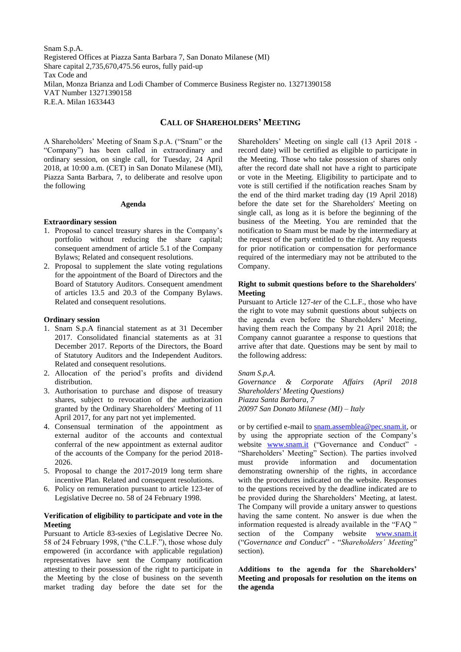Snam S.p.A. Registered Offices at Piazza Santa Barbara 7, San Donato Milanese (MI) Share capital 2,735,670,475.56 euros, fully paid-up Tax Code and Milan, Monza Brianza and Lodi Chamber of Commerce Business Register no. 13271390158 VAT Number 13271390158 R.E.A. Milan 1633443

# **CALL OF SHAREHOLDERS' MEETING**

A Shareholders' Meeting of Snam S.p.A. ("Snam" or the "Company") has been called in extraordinary and ordinary session, on single call, for Tuesday, 24 April 2018, at 10:00 a.m. (CET) in San Donato Milanese (MI), Piazza Santa Barbara, 7, to deliberate and resolve upon the following

#### **Agenda**

#### **Extraordinary session**

- 1. Proposal to cancel treasury shares in the Company's portfolio without reducing the share capital; consequent amendment of article 5.1 of the Company Bylaws; Related and consequent resolutions.
- 2. Proposal to supplement the slate voting regulations for the appointment of the Board of Directors and the Board of Statutory Auditors. Consequent amendment of articles 13.5 and 20.3 of the Company Bylaws. Related and consequent resolutions.

# **Ordinary session**

- 1. Snam S.p.A financial statement as at 31 December 2017. Consolidated financial statements as at 31 December 2017. Reports of the Directors, the Board of Statutory Auditors and the Independent Auditors. Related and consequent resolutions.
- 2. Allocation of the period's profits and dividend distribution.
- 3. Authorisation to purchase and dispose of treasury shares, subject to revocation of the authorization granted by the Ordinary Shareholders' Meeting of 11 April 2017, for any part not yet implemented.
- 4. Consensual termination of the appointment as external auditor of the accounts and contextual conferral of the new appointment as external auditor of the accounts of the Company for the period 2018- 2026.
- 5. Proposal to change the 2017-2019 long term share incentive Plan. Related and consequent resolutions.
- 6. Policy on remuneration pursuant to article 123-ter of Legislative Decree no. 58 of 24 February 1998.

### **Verification of eligibility to participate and vote in the Meeting**

Pursuant to Article 83-sexies of Legislative Decree No. 58 of 24 February 1998, ("the C.L.F."), those whose duly empowered (in accordance with applicable regulation) representatives have sent the Company notification attesting to their possession of the right to participate in the Meeting by the close of business on the seventh market trading day before the date set for the

Shareholders' Meeting on single call (13 April 2018 record date) will be certified as eligible to participate in the Meeting. Those who take possession of shares only after the record date shall not have a right to participate or vote in the Meeting. Eligibility to participate and to vote is still certified if the notification reaches Snam by the end of the third market trading day (19 April 2018) before the date set for the Shareholders' Meeting on single call, as long as it is before the beginning of the business of the Meeting. You are reminded that the notification to Snam must be made by the intermediary at the request of the party entitled to the right. Any requests for prior notification or compensation for performance required of the intermediary may not be attributed to the Company.

#### **Right to submit questions before to the Shareholders' Meeting**

Pursuant to Article 127-*ter* of the C.L.F., those who have the right to vote may submit questions about subjects on the agenda even before the Shareholders' Meeting, having them reach the Company by 21 April 2018; the Company cannot guarantee a response to questions that arrive after that date. Questions may be sent by mail to the following address:

*Snam S.p.A.*

*Governance & Corporate Affairs (April 2018 Shareholders' Meeting Questions) Piazza Santa Barbara, 7 20097 San Donato Milanese (MI) – Italy*

or by certified e-mail to [snam.assemblea@pec.snam.it,](snam.assemblea@pec.snam.it) or by using the appropriate section of the Company's website [www.snam.it](http://www.snam.it/) ("Governance and Conduct" -"Shareholders' Meeting" Section). The parties involved must provide information and documentation demonstrating ownership of the rights, in accordance with the procedures indicated on the website. Responses to the questions received by the deadline indicated are to be provided during the Shareholders' Meeting, at latest. The Company will provide a unitary answer to questions having the same content. No answer is due when the information requested is already available in the "FAQ " section of the Company website [www.snam.it](http://www.snam.it/) ("*Governance and Conduct*" - "*Shareholders' Meeting*" section).

**Additions to the agenda for the Shareholders' Meeting and proposals for resolution on the items on the agenda**